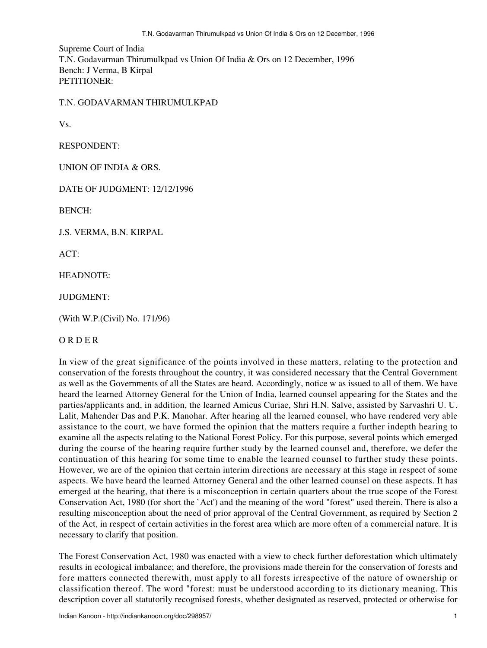Supreme Court of India T.N. Godavarman Thirumulkpad vs Union Of India & Ors on 12 December, 1996 Bench: J Verma, B Kirpal PETITIONER:

T.N. GODAVARMAN THIRUMULKPAD

Vs.

RESPONDENT:

UNION OF INDIA & ORS.

DATE OF JUDGMENT: 12/12/1996

BENCH:

J.S. VERMA, B.N. KIRPAL

 $ACT$ 

HEADNOTE:

JUDGMENT:

(With W.P.(Civil) No. 171/96)

## O R D E R

In view of the great significance of the points involved in these matters, relating to the protection and conservation of the forests throughout the country, it was considered necessary that the Central Government as well as the Governments of all the States are heard. Accordingly, notice w as issued to all of them. We have heard the learned Attorney General for the Union of India, learned counsel appearing for the States and the parties/applicants and, in addition, the learned Amicus Curiae, Shri H.N. Salve, assisted by Sarvashri U. U. Lalit, Mahender Das and P.K. Manohar. After hearing all the learned counsel, who have rendered very able assistance to the court, we have formed the opinion that the matters require a further indepth hearing to examine all the aspects relating to the National Forest Policy. For this purpose, several points which emerged during the course of the hearing require further study by the learned counsel and, therefore, we defer the continuation of this hearing for some time to enable the learned counsel to further study these points. However, we are of the opinion that certain interim directions are necessary at this stage in respect of some aspects. We have heard the learned Attorney General and the other learned counsel on these aspects. It has emerged at the hearing, that there is a misconception in certain quarters about the true scope of the Forest Conservation Act, 1980 (for short the `Act') and the meaning of the word "forest" used therein. There is also a resulting misconception about the need of prior approval of the Central Government, as required by Section 2 of the Act, in respect of certain activities in the forest area which are more often of a commercial nature. It is necessary to clarify that position.

The Forest Conservation Act, 1980 was enacted with a view to check further deforestation which ultimately results in ecological imbalance; and therefore, the provisions made therein for the conservation of forests and fore matters connected therewith, must apply to all forests irrespective of the nature of ownership or classification thereof. The word "forest: must be understood according to its dictionary meaning. This description cover all statutorily recognised forests, whether designated as reserved, protected or otherwise for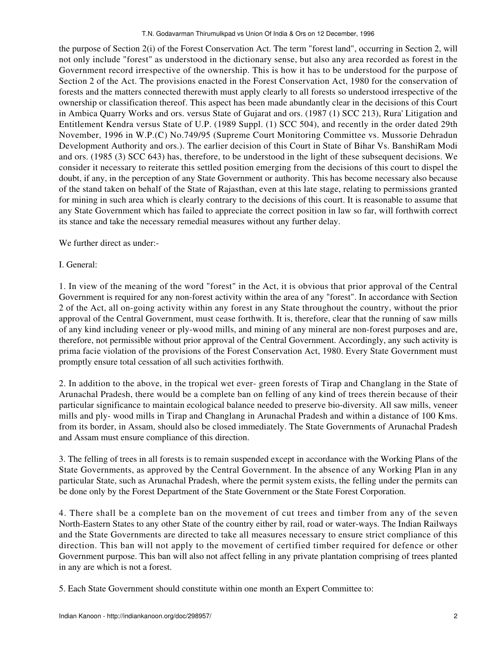the purpose of Section 2(i) of the Forest Conservation Act. The term "forest land", occurring in Section 2, will not only include "forest" as understood in the dictionary sense, but also any area recorded as forest in the Government record irrespective of the ownership. This is how it has to be understood for the purpose of Section 2 of the Act. The provisions enacted in the Forest Conservation Act, 1980 for the conservation of forests and the matters connected therewith must apply clearly to all forests so understood irrespective of the ownership or classification thereof. This aspect has been made abundantly clear in the decisions of this Court in Ambica Quarry Works and ors. versus State of Gujarat and ors. (1987 (1) SCC 213), Rura' Litigation and Entitlement Kendra versus State of U.P. (1989 Suppl. (1) SCC 504), and recently in the order dated 29th November, 1996 in W.P.(C) No.749/95 (Supreme Court Monitoring Committee vs. Mussorie Dehradun Development Authority and ors.). The earlier decision of this Court in State of Bihar Vs. BanshiRam Modi and ors. (1985 (3) SCC 643) has, therefore, to be understood in the light of these subsequent decisions. We consider it necessary to reiterate this settled position emerging from the decisions of this court to dispel the doubt, if any, in the perception of any State Government or authority. This has become necessary also because of the stand taken on behalf of the State of Rajasthan, even at this late stage, relating to permissions granted for mining in such area which is clearly contrary to the decisions of this court. It is reasonable to assume that any State Government which has failed to appreciate the correct position in law so far, will forthwith correct its stance and take the necessary remedial measures without any further delay.

We further direct as under:-

## I. General:

1. In view of the meaning of the word "forest" in the Act, it is obvious that prior approval of the Central Government is required for any non-forest activity within the area of any "forest". In accordance with Section 2 of the Act, all on-going activity within any forest in any State throughout the country, without the prior approval of the Central Government, must cease forthwith. It is, therefore, clear that the running of saw mills of any kind including veneer or ply-wood mills, and mining of any mineral are non-forest purposes and are, therefore, not permissible without prior approval of the Central Government. Accordingly, any such activity is prima facie violation of the provisions of the Forest Conservation Act, 1980. Every State Government must promptly ensure total cessation of all such activities forthwith.

2. In addition to the above, in the tropical wet ever- green forests of Tirap and Changlang in the State of Arunachal Pradesh, there would be a complete ban on felling of any kind of trees therein because of their particular significance to maintain ecological balance needed to preserve bio-diversity. All saw mills, veneer mills and ply- wood mills in Tirap and Changlang in Arunachal Pradesh and within a distance of 100 Kms. from its border, in Assam, should also be closed immediately. The State Governments of Arunachal Pradesh and Assam must ensure compliance of this direction.

3. The felling of trees in all forests is to remain suspended except in accordance with the Working Plans of the State Governments, as approved by the Central Government. In the absence of any Working Plan in any particular State, such as Arunachal Pradesh, where the permit system exists, the felling under the permits can be done only by the Forest Department of the State Government or the State Forest Corporation.

4. There shall be a complete ban on the movement of cut trees and timber from any of the seven North-Eastern States to any other State of the country either by rail, road or water-ways. The Indian Railways and the State Governments are directed to take all measures necessary to ensure strict compliance of this direction. This ban will not apply to the movement of certified timber required for defence or other Government purpose. This ban will also not affect felling in any private plantation comprising of trees planted in any are which is not a forest.

5. Each State Government should constitute within one month an Expert Committee to: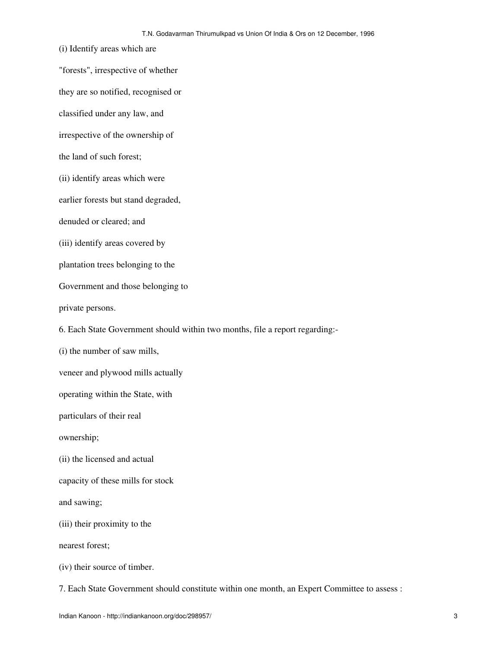(i) Identify areas which are "forests", irrespective of whether they are so notified, recognised or classified under any law, and irrespective of the ownership of the land of such forest; (ii) identify areas which were earlier forests but stand degraded, denuded or cleared; and (iii) identify areas covered by plantation trees belonging to the Government and those belonging to private persons. 6. Each State Government should within two months, file a report regarding:- (i) the number of saw mills, veneer and plywood mills actually operating within the State, with particulars of their real ownership; (ii) the licensed and actual capacity of these mills for stock and sawing; (iii) their proximity to the nearest forest; (iv) their source of timber.

7. Each State Government should constitute within one month, an Expert Committee to assess :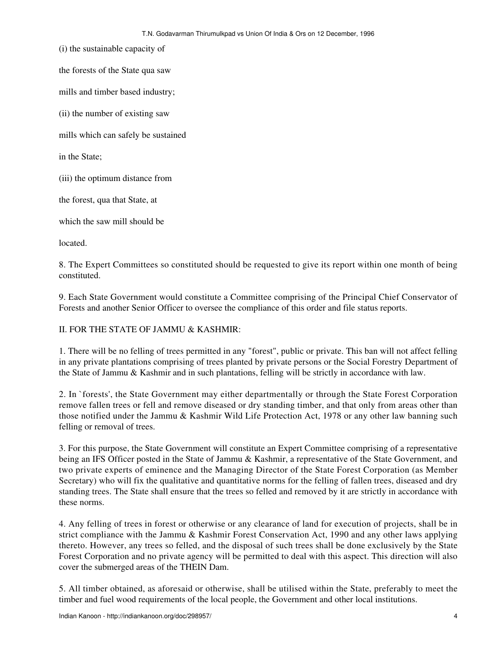(i) the sustainable capacity of

the forests of the State qua saw

mills and timber based industry;

(ii) the number of existing saw

mills which can safely be sustained

in the State;

(iii) the optimum distance from

the forest, qua that State, at

which the saw mill should be

located.

8. The Expert Committees so constituted should be requested to give its report within one month of being constituted.

9. Each State Government would constitute a Committee comprising of the Principal Chief Conservator of Forests and another Senior Officer to oversee the compliance of this order and file status reports.

II. FOR THE STATE OF JAMMU & KASHMIR:

1. There will be no felling of trees permitted in any "forest", public or private. This ban will not affect felling in any private plantations comprising of trees planted by private persons or the Social Forestry Department of the State of Jammu & Kashmir and in such plantations, felling will be strictly in accordance with law.

2. In `forests', the State Government may either departmentally or through the State Forest Corporation remove fallen trees or fell and remove diseased or dry standing timber, and that only from areas other than those notified under the Jammu & Kashmir Wild Life Protection Act, 1978 or any other law banning such felling or removal of trees.

3. For this purpose, the State Government will constitute an Expert Committee comprising of a representative being an IFS Officer posted in the State of Jammu & Kashmir, a representative of the State Government, and two private experts of eminence and the Managing Director of the State Forest Corporation (as Member Secretary) who will fix the qualitative and quantitative norms for the felling of fallen trees, diseased and dry standing trees. The State shall ensure that the trees so felled and removed by it are strictly in accordance with these norms.

4. Any felling of trees in forest or otherwise or any clearance of land for execution of projects, shall be in strict compliance with the Jammu & Kashmir Forest Conservation Act, 1990 and any other laws applying thereto. However, any trees so felled, and the disposal of such trees shall be done exclusively by the State Forest Corporation and no private agency will be permitted to deal with this aspect. This direction will also cover the submerged areas of the THEIN Dam.

5. All timber obtained, as aforesaid or otherwise, shall be utilised within the State, preferably to meet the timber and fuel wood requirements of the local people, the Government and other local institutions.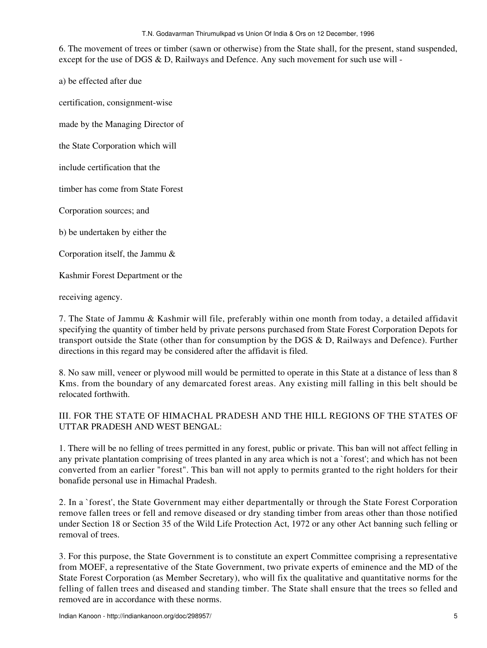## T.N. Godavarman Thirumulkpad vs Union Of India & Ors on 12 December, 1996

6. The movement of trees or timber (sawn or otherwise) from the State shall, for the present, stand suspended, except for the use of DGS & D, Railways and Defence. Any such movement for such use will -

a) be effected after due

certification, consignment-wise

made by the Managing Director of

the State Corporation which will

include certification that the

timber has come from State Forest

Corporation sources; and

b) be undertaken by either the

Corporation itself, the Jammu &

Kashmir Forest Department or the

receiving agency.

7. The State of Jammu & Kashmir will file, preferably within one month from today, a detailed affidavit specifying the quantity of timber held by private persons purchased from State Forest Corporation Depots for transport outside the State (other than for consumption by the DGS & D, Railways and Defence). Further directions in this regard may be considered after the affidavit is filed.

8. No saw mill, veneer or plywood mill would be permitted to operate in this State at a distance of less than 8 Kms. from the boundary of any demarcated forest areas. Any existing mill falling in this belt should be relocated forthwith.

## III. FOR THE STATE OF HIMACHAL PRADESH AND THE HILL REGIONS OF THE STATES OF UTTAR PRADESH AND WEST BENGAL:

1. There will be no felling of trees permitted in any forest, public or private. This ban will not affect felling in any private plantation comprising of trees planted in any area which is not a `forest'; and which has not been converted from an earlier "forest". This ban will not apply to permits granted to the right holders for their bonafide personal use in Himachal Pradesh.

2. In a `forest', the State Government may either departmentally or through the State Forest Corporation remove fallen trees or fell and remove diseased or dry standing timber from areas other than those notified under Section 18 or Section 35 of the Wild Life Protection Act, 1972 or any other Act banning such felling or removal of trees.

3. For this purpose, the State Government is to constitute an expert Committee comprising a representative from MOEF, a representative of the State Government, two private experts of eminence and the MD of the State Forest Corporation (as Member Secretary), who will fix the qualitative and quantitative norms for the felling of fallen trees and diseased and standing timber. The State shall ensure that the trees so felled and removed are in accordance with these norms.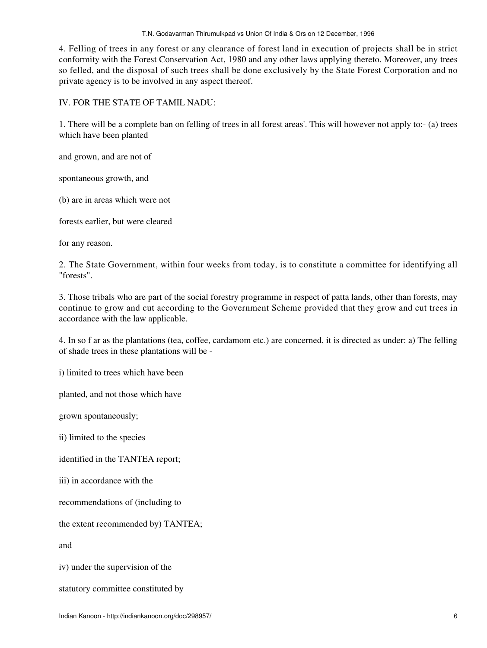4. Felling of trees in any forest or any clearance of forest land in execution of projects shall be in strict conformity with the Forest Conservation Act, 1980 and any other laws applying thereto. Moreover, any trees so felled, and the disposal of such trees shall be done exclusively by the State Forest Corporation and no private agency is to be involved in any aspect thereof.

IV. FOR THE STATE OF TAMIL NADU:

1. There will be a complete ban on felling of trees in all forest areas'. This will however not apply to:- (a) trees which have been planted

and grown, and are not of

spontaneous growth, and

(b) are in areas which were not

forests earlier, but were cleared

for any reason.

2. The State Government, within four weeks from today, is to constitute a committee for identifying all "forests".

3. Those tribals who are part of the social forestry programme in respect of patta lands, other than forests, may continue to grow and cut according to the Government Scheme provided that they grow and cut trees in accordance with the law applicable.

4. In so f ar as the plantations (tea, coffee, cardamom etc.) are concerned, it is directed as under: a) The felling of shade trees in these plantations will be -

i) limited to trees which have been

planted, and not those which have

grown spontaneously;

ii) limited to the species

identified in the TANTEA report;

iii) in accordance with the

recommendations of (including to

the extent recommended by) TANTEA;

and

iv) under the supervision of the

statutory committee constituted by